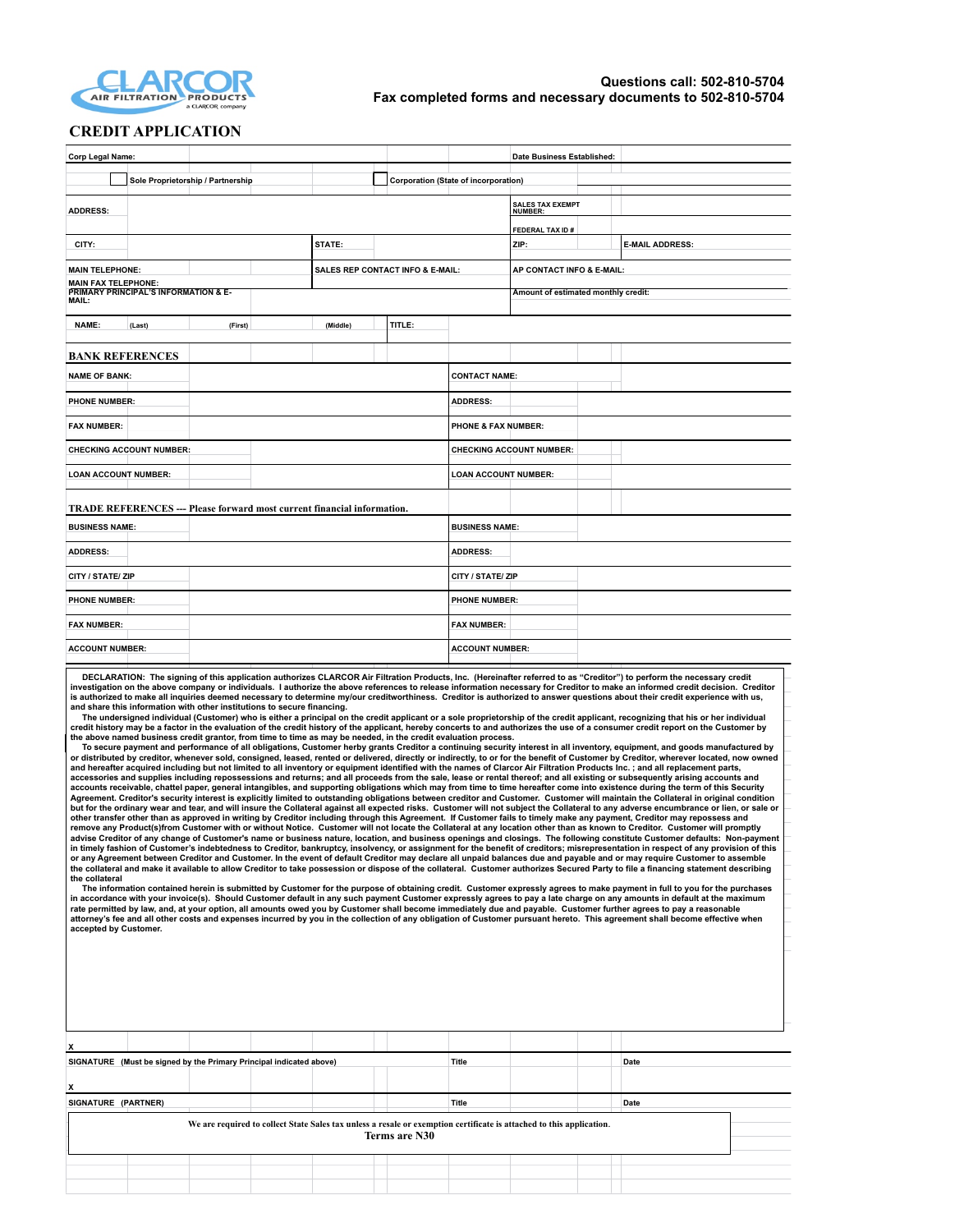

## **CREDIT APPLICATION**

| <b>Corp Legal Name:</b>                                                                                                                                                                                                                                                                                                                                                                                                                                                                                                                                                                                                                                                                                                                                                                                                                                                                                                                                                                                                                                                                                                                                                                                                                                                                                                                                                                                                                                                                                                                                                                                                                                                                                                                                                                                                                                                                                                                                                                                                                                                                                                                                                                                                                                                                                                                                                                                                                                                                                                                                                                                                                                                                                                                                                                                                                                                                                                                                                                                                                                                                                                                                                                                                                                                                                                                                                                                                                                                                                                                                                                                                                                                                                                              |                                             | Date Business Established:                |                                     |  |  |  |
|--------------------------------------------------------------------------------------------------------------------------------------------------------------------------------------------------------------------------------------------------------------------------------------------------------------------------------------------------------------------------------------------------------------------------------------------------------------------------------------------------------------------------------------------------------------------------------------------------------------------------------------------------------------------------------------------------------------------------------------------------------------------------------------------------------------------------------------------------------------------------------------------------------------------------------------------------------------------------------------------------------------------------------------------------------------------------------------------------------------------------------------------------------------------------------------------------------------------------------------------------------------------------------------------------------------------------------------------------------------------------------------------------------------------------------------------------------------------------------------------------------------------------------------------------------------------------------------------------------------------------------------------------------------------------------------------------------------------------------------------------------------------------------------------------------------------------------------------------------------------------------------------------------------------------------------------------------------------------------------------------------------------------------------------------------------------------------------------------------------------------------------------------------------------------------------------------------------------------------------------------------------------------------------------------------------------------------------------------------------------------------------------------------------------------------------------------------------------------------------------------------------------------------------------------------------------------------------------------------------------------------------------------------------------------------------------------------------------------------------------------------------------------------------------------------------------------------------------------------------------------------------------------------------------------------------------------------------------------------------------------------------------------------------------------------------------------------------------------------------------------------------------------------------------------------------------------------------------------------------------------------------------------------------------------------------------------------------------------------------------------------------------------------------------------------------------------------------------------------------------------------------------------------------------------------------------------------------------------------------------------------------------------------------------------------------------------------------------------------------|---------------------------------------------|-------------------------------------------|-------------------------------------|--|--|--|
| Sole Proprietorship / Partnership                                                                                                                                                                                                                                                                                                                                                                                                                                                                                                                                                                                                                                                                                                                                                                                                                                                                                                                                                                                                                                                                                                                                                                                                                                                                                                                                                                                                                                                                                                                                                                                                                                                                                                                                                                                                                                                                                                                                                                                                                                                                                                                                                                                                                                                                                                                                                                                                                                                                                                                                                                                                                                                                                                                                                                                                                                                                                                                                                                                                                                                                                                                                                                                                                                                                                                                                                                                                                                                                                                                                                                                                                                                                                                    |                                             | Corporation (State of incorporation)      |                                     |  |  |  |
| <b>ADDRESS:</b>                                                                                                                                                                                                                                                                                                                                                                                                                                                                                                                                                                                                                                                                                                                                                                                                                                                                                                                                                                                                                                                                                                                                                                                                                                                                                                                                                                                                                                                                                                                                                                                                                                                                                                                                                                                                                                                                                                                                                                                                                                                                                                                                                                                                                                                                                                                                                                                                                                                                                                                                                                                                                                                                                                                                                                                                                                                                                                                                                                                                                                                                                                                                                                                                                                                                                                                                                                                                                                                                                                                                                                                                                                                                                                                      |                                             | <b>SALES TAX EXEMPT</b><br><b>NUMBER:</b> |                                     |  |  |  |
|                                                                                                                                                                                                                                                                                                                                                                                                                                                                                                                                                                                                                                                                                                                                                                                                                                                                                                                                                                                                                                                                                                                                                                                                                                                                                                                                                                                                                                                                                                                                                                                                                                                                                                                                                                                                                                                                                                                                                                                                                                                                                                                                                                                                                                                                                                                                                                                                                                                                                                                                                                                                                                                                                                                                                                                                                                                                                                                                                                                                                                                                                                                                                                                                                                                                                                                                                                                                                                                                                                                                                                                                                                                                                                                                      |                                             | FEDERAL TAX ID#                           |                                     |  |  |  |
| CITY:                                                                                                                                                                                                                                                                                                                                                                                                                                                                                                                                                                                                                                                                                                                                                                                                                                                                                                                                                                                                                                                                                                                                                                                                                                                                                                                                                                                                                                                                                                                                                                                                                                                                                                                                                                                                                                                                                                                                                                                                                                                                                                                                                                                                                                                                                                                                                                                                                                                                                                                                                                                                                                                                                                                                                                                                                                                                                                                                                                                                                                                                                                                                                                                                                                                                                                                                                                                                                                                                                                                                                                                                                                                                                                                                | STATE:                                      | ZIP:                                      | <b>E-MAIL ADDRESS:</b>              |  |  |  |
| <b>MAIN TELEPHONE:</b>                                                                                                                                                                                                                                                                                                                                                                                                                                                                                                                                                                                                                                                                                                                                                                                                                                                                                                                                                                                                                                                                                                                                                                                                                                                                                                                                                                                                                                                                                                                                                                                                                                                                                                                                                                                                                                                                                                                                                                                                                                                                                                                                                                                                                                                                                                                                                                                                                                                                                                                                                                                                                                                                                                                                                                                                                                                                                                                                                                                                                                                                                                                                                                                                                                                                                                                                                                                                                                                                                                                                                                                                                                                                                                               | <b>SALES REP CONTACT INFO &amp; E-MAIL:</b> |                                           | AP CONTACT INFO & E-MAIL:           |  |  |  |
| <b>MAIN FAX TELEPHONE:</b><br>PRIMARY PRINCIPAL'S INFORMATION & E-<br>MAIL:                                                                                                                                                                                                                                                                                                                                                                                                                                                                                                                                                                                                                                                                                                                                                                                                                                                                                                                                                                                                                                                                                                                                                                                                                                                                                                                                                                                                                                                                                                                                                                                                                                                                                                                                                                                                                                                                                                                                                                                                                                                                                                                                                                                                                                                                                                                                                                                                                                                                                                                                                                                                                                                                                                                                                                                                                                                                                                                                                                                                                                                                                                                                                                                                                                                                                                                                                                                                                                                                                                                                                                                                                                                          |                                             |                                           | Amount of estimated monthly credit: |  |  |  |
| <b>NAME:</b><br>(First)<br>(Last)                                                                                                                                                                                                                                                                                                                                                                                                                                                                                                                                                                                                                                                                                                                                                                                                                                                                                                                                                                                                                                                                                                                                                                                                                                                                                                                                                                                                                                                                                                                                                                                                                                                                                                                                                                                                                                                                                                                                                                                                                                                                                                                                                                                                                                                                                                                                                                                                                                                                                                                                                                                                                                                                                                                                                                                                                                                                                                                                                                                                                                                                                                                                                                                                                                                                                                                                                                                                                                                                                                                                                                                                                                                                                                    | TITLE:<br>(Middle)                          |                                           |                                     |  |  |  |
|                                                                                                                                                                                                                                                                                                                                                                                                                                                                                                                                                                                                                                                                                                                                                                                                                                                                                                                                                                                                                                                                                                                                                                                                                                                                                                                                                                                                                                                                                                                                                                                                                                                                                                                                                                                                                                                                                                                                                                                                                                                                                                                                                                                                                                                                                                                                                                                                                                                                                                                                                                                                                                                                                                                                                                                                                                                                                                                                                                                                                                                                                                                                                                                                                                                                                                                                                                                                                                                                                                                                                                                                                                                                                                                                      |                                             |                                           |                                     |  |  |  |
| <b>BANK REFERENCES</b>                                                                                                                                                                                                                                                                                                                                                                                                                                                                                                                                                                                                                                                                                                                                                                                                                                                                                                                                                                                                                                                                                                                                                                                                                                                                                                                                                                                                                                                                                                                                                                                                                                                                                                                                                                                                                                                                                                                                                                                                                                                                                                                                                                                                                                                                                                                                                                                                                                                                                                                                                                                                                                                                                                                                                                                                                                                                                                                                                                                                                                                                                                                                                                                                                                                                                                                                                                                                                                                                                                                                                                                                                                                                                                               |                                             |                                           |                                     |  |  |  |
| <b>NAME OF BANK:</b>                                                                                                                                                                                                                                                                                                                                                                                                                                                                                                                                                                                                                                                                                                                                                                                                                                                                                                                                                                                                                                                                                                                                                                                                                                                                                                                                                                                                                                                                                                                                                                                                                                                                                                                                                                                                                                                                                                                                                                                                                                                                                                                                                                                                                                                                                                                                                                                                                                                                                                                                                                                                                                                                                                                                                                                                                                                                                                                                                                                                                                                                                                                                                                                                                                                                                                                                                                                                                                                                                                                                                                                                                                                                                                                 |                                             | <b>CONTACT NAME:</b>                      |                                     |  |  |  |
| <b>PHONE NUMBER:</b>                                                                                                                                                                                                                                                                                                                                                                                                                                                                                                                                                                                                                                                                                                                                                                                                                                                                                                                                                                                                                                                                                                                                                                                                                                                                                                                                                                                                                                                                                                                                                                                                                                                                                                                                                                                                                                                                                                                                                                                                                                                                                                                                                                                                                                                                                                                                                                                                                                                                                                                                                                                                                                                                                                                                                                                                                                                                                                                                                                                                                                                                                                                                                                                                                                                                                                                                                                                                                                                                                                                                                                                                                                                                                                                 |                                             | <b>ADDRESS:</b>                           |                                     |  |  |  |
| <b>FAX NUMBER:</b>                                                                                                                                                                                                                                                                                                                                                                                                                                                                                                                                                                                                                                                                                                                                                                                                                                                                                                                                                                                                                                                                                                                                                                                                                                                                                                                                                                                                                                                                                                                                                                                                                                                                                                                                                                                                                                                                                                                                                                                                                                                                                                                                                                                                                                                                                                                                                                                                                                                                                                                                                                                                                                                                                                                                                                                                                                                                                                                                                                                                                                                                                                                                                                                                                                                                                                                                                                                                                                                                                                                                                                                                                                                                                                                   |                                             | <b>PHONE &amp; FAX NUMBER:</b>            |                                     |  |  |  |
| <b>CHECKING ACCOUNT NUMBER:</b>                                                                                                                                                                                                                                                                                                                                                                                                                                                                                                                                                                                                                                                                                                                                                                                                                                                                                                                                                                                                                                                                                                                                                                                                                                                                                                                                                                                                                                                                                                                                                                                                                                                                                                                                                                                                                                                                                                                                                                                                                                                                                                                                                                                                                                                                                                                                                                                                                                                                                                                                                                                                                                                                                                                                                                                                                                                                                                                                                                                                                                                                                                                                                                                                                                                                                                                                                                                                                                                                                                                                                                                                                                                                                                      |                                             | <b>CHECKING ACCOUNT NUMBER:</b>           |                                     |  |  |  |
| <b>LOAN ACCOUNT NUMBER:</b>                                                                                                                                                                                                                                                                                                                                                                                                                                                                                                                                                                                                                                                                                                                                                                                                                                                                                                                                                                                                                                                                                                                                                                                                                                                                                                                                                                                                                                                                                                                                                                                                                                                                                                                                                                                                                                                                                                                                                                                                                                                                                                                                                                                                                                                                                                                                                                                                                                                                                                                                                                                                                                                                                                                                                                                                                                                                                                                                                                                                                                                                                                                                                                                                                                                                                                                                                                                                                                                                                                                                                                                                                                                                                                          |                                             | <b>LOAN ACCOUNT NUMBER:</b>               |                                     |  |  |  |
| <b>TRADE REFERENCES --- Please forward most current financial information.</b>                                                                                                                                                                                                                                                                                                                                                                                                                                                                                                                                                                                                                                                                                                                                                                                                                                                                                                                                                                                                                                                                                                                                                                                                                                                                                                                                                                                                                                                                                                                                                                                                                                                                                                                                                                                                                                                                                                                                                                                                                                                                                                                                                                                                                                                                                                                                                                                                                                                                                                                                                                                                                                                                                                                                                                                                                                                                                                                                                                                                                                                                                                                                                                                                                                                                                                                                                                                                                                                                                                                                                                                                                                                       |                                             |                                           |                                     |  |  |  |
| <b>BUSINESS NAME:</b>                                                                                                                                                                                                                                                                                                                                                                                                                                                                                                                                                                                                                                                                                                                                                                                                                                                                                                                                                                                                                                                                                                                                                                                                                                                                                                                                                                                                                                                                                                                                                                                                                                                                                                                                                                                                                                                                                                                                                                                                                                                                                                                                                                                                                                                                                                                                                                                                                                                                                                                                                                                                                                                                                                                                                                                                                                                                                                                                                                                                                                                                                                                                                                                                                                                                                                                                                                                                                                                                                                                                                                                                                                                                                                                |                                             | <b>BUSINESS NAME:</b>                     |                                     |  |  |  |
| <b>ADDRESS:</b>                                                                                                                                                                                                                                                                                                                                                                                                                                                                                                                                                                                                                                                                                                                                                                                                                                                                                                                                                                                                                                                                                                                                                                                                                                                                                                                                                                                                                                                                                                                                                                                                                                                                                                                                                                                                                                                                                                                                                                                                                                                                                                                                                                                                                                                                                                                                                                                                                                                                                                                                                                                                                                                                                                                                                                                                                                                                                                                                                                                                                                                                                                                                                                                                                                                                                                                                                                                                                                                                                                                                                                                                                                                                                                                      |                                             | <b>ADDRESS:</b>                           |                                     |  |  |  |
| CITY / STATE/ ZIP                                                                                                                                                                                                                                                                                                                                                                                                                                                                                                                                                                                                                                                                                                                                                                                                                                                                                                                                                                                                                                                                                                                                                                                                                                                                                                                                                                                                                                                                                                                                                                                                                                                                                                                                                                                                                                                                                                                                                                                                                                                                                                                                                                                                                                                                                                                                                                                                                                                                                                                                                                                                                                                                                                                                                                                                                                                                                                                                                                                                                                                                                                                                                                                                                                                                                                                                                                                                                                                                                                                                                                                                                                                                                                                    | CITY / STATE/ ZIP                           |                                           |                                     |  |  |  |
| <b>PHONE NUMBER:</b>                                                                                                                                                                                                                                                                                                                                                                                                                                                                                                                                                                                                                                                                                                                                                                                                                                                                                                                                                                                                                                                                                                                                                                                                                                                                                                                                                                                                                                                                                                                                                                                                                                                                                                                                                                                                                                                                                                                                                                                                                                                                                                                                                                                                                                                                                                                                                                                                                                                                                                                                                                                                                                                                                                                                                                                                                                                                                                                                                                                                                                                                                                                                                                                                                                                                                                                                                                                                                                                                                                                                                                                                                                                                                                                 |                                             | <b>PHONE NUMBER:</b>                      |                                     |  |  |  |
| <b>FAX NUMBER:</b>                                                                                                                                                                                                                                                                                                                                                                                                                                                                                                                                                                                                                                                                                                                                                                                                                                                                                                                                                                                                                                                                                                                                                                                                                                                                                                                                                                                                                                                                                                                                                                                                                                                                                                                                                                                                                                                                                                                                                                                                                                                                                                                                                                                                                                                                                                                                                                                                                                                                                                                                                                                                                                                                                                                                                                                                                                                                                                                                                                                                                                                                                                                                                                                                                                                                                                                                                                                                                                                                                                                                                                                                                                                                                                                   |                                             | <b>FAX NUMBER:</b>                        |                                     |  |  |  |
| <b>ACCOUNT NUMBER:</b>                                                                                                                                                                                                                                                                                                                                                                                                                                                                                                                                                                                                                                                                                                                                                                                                                                                                                                                                                                                                                                                                                                                                                                                                                                                                                                                                                                                                                                                                                                                                                                                                                                                                                                                                                                                                                                                                                                                                                                                                                                                                                                                                                                                                                                                                                                                                                                                                                                                                                                                                                                                                                                                                                                                                                                                                                                                                                                                                                                                                                                                                                                                                                                                                                                                                                                                                                                                                                                                                                                                                                                                                                                                                                                               |                                             | <b>ACCOUNT NUMBER:</b>                    |                                     |  |  |  |
| and share this information with other institutions to secure financing.<br>The undersigned individual (Customer) who is either a principal on the credit applicant or a sole proprietorship of the credit applicant, recognizing that his or her individual<br>credit history may be a factor in the evaluation of the credit history of the applicant, hereby concerts to and authorizes the use of a consumer credit report on the Customer by<br>the above named business credit grantor, from time to time as may be needed, in the credit evaluation process.<br>To secure payment and performance of all obligations, Customer herby grants Creditor a continuing security interest in all inventory, equipment, and goods manufactured by<br>or distributed by creditor, whenever sold, consigned, leased, rented or delivered, directly or indirectly, to or for the benefit of Customer by Creditor, wherever located, now owned<br>and hereafter acquired including but not limited to all inventory or equipment identified with the names of Clarcor Air Filtration Products Inc.; and all replacement parts,<br>accessories and supplies including repossessions and returns; and all proceeds from the sale, lease or rental thereof; and all existing or subsequently arising accounts and<br>accounts receivable, chattel paper, general intangibles, and supporting obligations which may from time to time hereafter come into existence during the term of this Security<br>Agreement. Creditor's security interest is explicitly limited to outstanding obligations between creditor and Customer. Customer will maintain the Collateral in original condition<br>but for the ordinary wear and tear, and will insure the Collateral against all expected risks. Customer will not subject the Collateral to any adverse encumbrance or lien, or sale or<br>other transfer other than as approved in writing by Creditor including through this Agreement. If Customer fails to timely make any payment, Creditor may repossess and<br>remove any Product(s)from Customer with or without Notice. Customer will not locate the Collateral at any location other than as known to Creditor. Customer will promptly<br>advise Creditor of any change of Customer's name or business nature, location, and business openings and closings. The following constitute Customer defaults: Non-payment<br>in timely fashion of Customer's indebtedness to Creditor, bankruptcy, insolvency, or assignment for the benefit of creditors; misrepresentation in respect of any provision of this<br>or any Agreement between Creditor and Customer. In the event of default Creditor may declare all unpaid balances due and payable and or may require Customer to assemble<br>the collateral and make it available to allow Creditor to take possession or dispose of the collateral. Customer authorizes Secured Party to file a financing statement describing<br>the collateral<br>The information contained herein is submitted by Customer for the purpose of obtaining credit. Customer expressly agrees to make payment in full to you for the purchases<br>in accordance with your invoice(s). Should Customer default in any such payment Customer expressly agrees to pay a late charge on any amounts in default at the maximum<br>rate permitted by law, and, at your option, all amounts owed you by Customer shall become immediately due and payable. Customer further agrees to pay a reasonable<br>attorney's fee and all other costs and expenses incurred by you in the collection of any obligation of Customer pursuant hereto. This agreement shall become effective when<br>accepted by Customer. |                                             |                                           |                                     |  |  |  |
|                                                                                                                                                                                                                                                                                                                                                                                                                                                                                                                                                                                                                                                                                                                                                                                                                                                                                                                                                                                                                                                                                                                                                                                                                                                                                                                                                                                                                                                                                                                                                                                                                                                                                                                                                                                                                                                                                                                                                                                                                                                                                                                                                                                                                                                                                                                                                                                                                                                                                                                                                                                                                                                                                                                                                                                                                                                                                                                                                                                                                                                                                                                                                                                                                                                                                                                                                                                                                                                                                                                                                                                                                                                                                                                                      |                                             |                                           |                                     |  |  |  |
| X<br>SIGNATURE (Must be signed by the Primary Principal indicated above)                                                                                                                                                                                                                                                                                                                                                                                                                                                                                                                                                                                                                                                                                                                                                                                                                                                                                                                                                                                                                                                                                                                                                                                                                                                                                                                                                                                                                                                                                                                                                                                                                                                                                                                                                                                                                                                                                                                                                                                                                                                                                                                                                                                                                                                                                                                                                                                                                                                                                                                                                                                                                                                                                                                                                                                                                                                                                                                                                                                                                                                                                                                                                                                                                                                                                                                                                                                                                                                                                                                                                                                                                                                             |                                             | <b>Title</b>                              | Date                                |  |  |  |
| X.                                                                                                                                                                                                                                                                                                                                                                                                                                                                                                                                                                                                                                                                                                                                                                                                                                                                                                                                                                                                                                                                                                                                                                                                                                                                                                                                                                                                                                                                                                                                                                                                                                                                                                                                                                                                                                                                                                                                                                                                                                                                                                                                                                                                                                                                                                                                                                                                                                                                                                                                                                                                                                                                                                                                                                                                                                                                                                                                                                                                                                                                                                                                                                                                                                                                                                                                                                                                                                                                                                                                                                                                                                                                                                                                   |                                             |                                           |                                     |  |  |  |
| SIGNATURE (PARTNER)                                                                                                                                                                                                                                                                                                                                                                                                                                                                                                                                                                                                                                                                                                                                                                                                                                                                                                                                                                                                                                                                                                                                                                                                                                                                                                                                                                                                                                                                                                                                                                                                                                                                                                                                                                                                                                                                                                                                                                                                                                                                                                                                                                                                                                                                                                                                                                                                                                                                                                                                                                                                                                                                                                                                                                                                                                                                                                                                                                                                                                                                                                                                                                                                                                                                                                                                                                                                                                                                                                                                                                                                                                                                                                                  |                                             | <b>Title</b>                              | Date                                |  |  |  |
| We are required to collect State Sales tax unless a resale or exemption certificate is attached to this application.<br>Terms are N30                                                                                                                                                                                                                                                                                                                                                                                                                                                                                                                                                                                                                                                                                                                                                                                                                                                                                                                                                                                                                                                                                                                                                                                                                                                                                                                                                                                                                                                                                                                                                                                                                                                                                                                                                                                                                                                                                                                                                                                                                                                                                                                                                                                                                                                                                                                                                                                                                                                                                                                                                                                                                                                                                                                                                                                                                                                                                                                                                                                                                                                                                                                                                                                                                                                                                                                                                                                                                                                                                                                                                                                                |                                             |                                           |                                     |  |  |  |
|                                                                                                                                                                                                                                                                                                                                                                                                                                                                                                                                                                                                                                                                                                                                                                                                                                                                                                                                                                                                                                                                                                                                                                                                                                                                                                                                                                                                                                                                                                                                                                                                                                                                                                                                                                                                                                                                                                                                                                                                                                                                                                                                                                                                                                                                                                                                                                                                                                                                                                                                                                                                                                                                                                                                                                                                                                                                                                                                                                                                                                                                                                                                                                                                                                                                                                                                                                                                                                                                                                                                                                                                                                                                                                                                      |                                             |                                           |                                     |  |  |  |
|                                                                                                                                                                                                                                                                                                                                                                                                                                                                                                                                                                                                                                                                                                                                                                                                                                                                                                                                                                                                                                                                                                                                                                                                                                                                                                                                                                                                                                                                                                                                                                                                                                                                                                                                                                                                                                                                                                                                                                                                                                                                                                                                                                                                                                                                                                                                                                                                                                                                                                                                                                                                                                                                                                                                                                                                                                                                                                                                                                                                                                                                                                                                                                                                                                                                                                                                                                                                                                                                                                                                                                                                                                                                                                                                      |                                             |                                           |                                     |  |  |  |
|                                                                                                                                                                                                                                                                                                                                                                                                                                                                                                                                                                                                                                                                                                                                                                                                                                                                                                                                                                                                                                                                                                                                                                                                                                                                                                                                                                                                                                                                                                                                                                                                                                                                                                                                                                                                                                                                                                                                                                                                                                                                                                                                                                                                                                                                                                                                                                                                                                                                                                                                                                                                                                                                                                                                                                                                                                                                                                                                                                                                                                                                                                                                                                                                                                                                                                                                                                                                                                                                                                                                                                                                                                                                                                                                      |                                             |                                           |                                     |  |  |  |